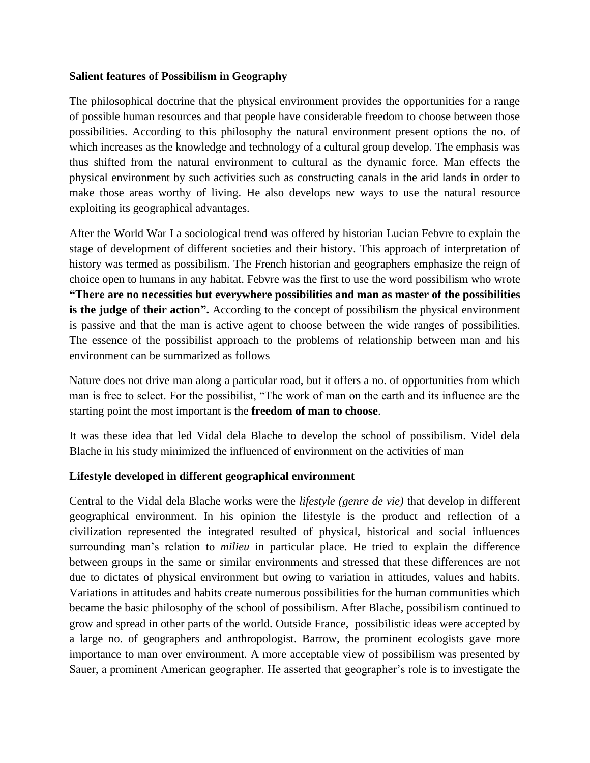## **Salient features of Possibilism in Geography**

The philosophical doctrine that the physical environment provides the opportunities for a range of possible human resources and that people have considerable freedom to choose between those possibilities. According to this philosophy the natural environment present options the no. of which increases as the knowledge and technology of a cultural group develop. The emphasis was thus shifted from the natural environment to cultural as the dynamic force. Man effects the physical environment by such activities such as constructing canals in the arid lands in order to make those areas worthy of living. He also develops new ways to use the natural resource exploiting its geographical advantages.

After the World War I a sociological trend was offered by historian Lucian Febvre to explain the stage of development of different societies and their history. This approach of interpretation of history was termed as possibilism. The French historian and geographers emphasize the reign of choice open to humans in any habitat. Febvre was the first to use the word possibilism who wrote **"There are no necessities but everywhere possibilities and man as master of the possibilities is the judge of their action".** According to the concept of possibilism the physical environment is passive and that the man is active agent to choose between the wide ranges of possibilities. The essence of the possibilist approach to the problems of relationship between man and his environment can be summarized as follows

Nature does not drive man along a particular road, but it offers a no. of opportunities from which man is free to select. For the possibilist, "The work of man on the earth and its influence are the starting point the most important is the **freedom of man to choose**.

It was these idea that led Vidal dela Blache to develop the school of possibilism. Videl dela Blache in his study minimized the influenced of environment on the activities of man

## **Lifestyle developed in different geographical environment**

Central to the Vidal dela Blache works were the *lifestyle (genre de vie)* that develop in different geographical environment. In his opinion the lifestyle is the product and reflection of a civilization represented the integrated resulted of physical, historical and social influences surrounding man's relation to *milieu* in particular place. He tried to explain the difference between groups in the same or similar environments and stressed that these differences are not due to dictates of physical environment but owing to variation in attitudes, values and habits. Variations in attitudes and habits create numerous possibilities for the human communities which became the basic philosophy of the school of possibilism. After Blache, possibilism continued to grow and spread in other parts of the world. Outside France, possibilistic ideas were accepted by a large no. of geographers and anthropologist. Barrow, the prominent ecologists gave more importance to man over environment. A more acceptable view of possibilism was presented by Sauer, a prominent American geographer. He asserted that geographer's role is to investigate the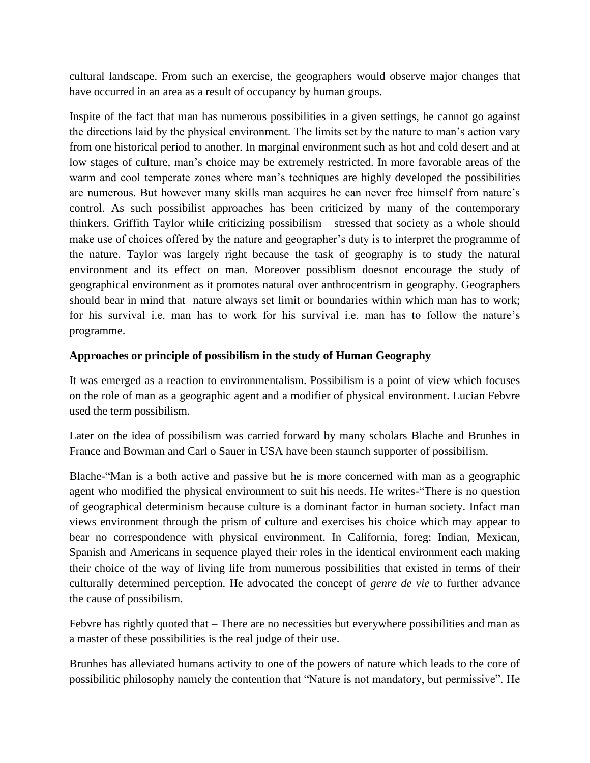cultural landscape. From such an exercise, the geographers would observe major changes that have occurred in an area as a result of occupancy by human groups.

Inspite of the fact that man has numerous possibilities in a given settings, he cannot go against the directions laid by the physical environment. The limits set by the nature to man's action vary from one historical period to another. In marginal environment such as hot and cold desert and at low stages of culture, man's choice may be extremely restricted. In more favorable areas of the warm and cool temperate zones where man's techniques are highly developed the possibilities are numerous. But however many skills man acquires he can never free himself from nature's control. As such possibilist approaches has been criticized by many of the contemporary thinkers. Griffith Taylor while criticizing possibilism stressed that society as a whole should make use of choices offered by the nature and geographer's duty is to interpret the programme of the nature. Taylor was largely right because the task of geography is to study the natural environment and its effect on man. Moreover possiblism doesnot encourage the study of geographical environment as it promotes natural over anthrocentrism in geography. Geographers should bear in mind that nature always set limit or boundaries within which man has to work; for his survival i.e. man has to work for his survival i.e. man has to follow the nature's programme.

## **Approaches or principle of possibilism in the study of Human Geography**

It was emerged as a reaction to environmentalism. Possibilism is a point of view which focuses on the role of man as a geographic agent and a modifier of physical environment. Lucian Febvre used the term possibilism.

Later on the idea of possibilism was carried forward by many scholars Blache and Brunhes in France and Bowman and Carl o Sauer in USA have been staunch supporter of possibilism.

Blache-"Man is a both active and passive but he is more concerned with man as a geographic agent who modified the physical environment to suit his needs. He writes-"There is no question of geographical determinism because culture is a dominant factor in human society. Infact man views environment through the prism of culture and exercises his choice which may appear to bear no correspondence with physical environment. In California, foreg: Indian, Mexican, Spanish and Americans in sequence played their roles in the identical environment each making their choice of the way of living life from numerous possibilities that existed in terms of their culturally determined perception. He advocated the concept of *genre de vie* to further advance the cause of possibilism.

Febvre has rightly quoted that – There are no necessities but everywhere possibilities and man as a master of these possibilities is the real judge of their use.

Brunhes has alleviated humans activity to one of the powers of nature which leads to the core of possibilitic philosophy namely the contention that "Nature is not mandatory, but permissive". He